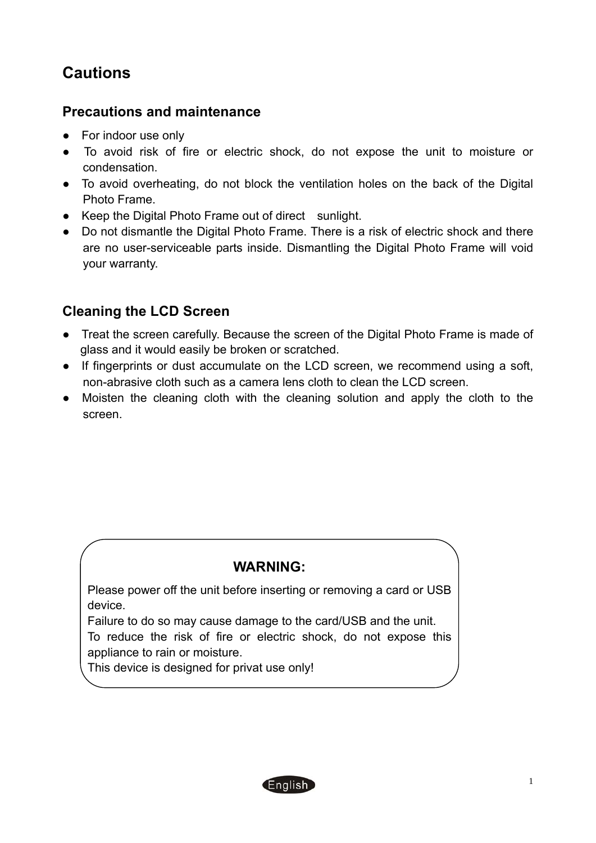# **Cautions**

#### **Precautions and maintenance**

- For indoor use only
- To avoid risk of fire or electric shock, do not expose the unit to moisture or condensation.
- To avoid overheating, do not block the ventilation holes on the back of the Digital Photo Frame.
- Keep the Digital Photo Frame out of direct sunlight.
- Do not dismantle the Digital Photo Frame. There is a risk of electric shock and there are no user-serviceable parts inside. Dismantling the Digital Photo Frame will void your warranty.

### **Cleaning the LCD Screen**

- Treat the screen carefully. Because the screen of the Digital Photo Frame is made of glass and it would easily be broken or scratched.
- If fingerprints or dust accumulate on the LCD screen, we recommend using a soft, non-abrasive cloth such as a camera lens cloth to clean the LCD screen.
- Moisten the cleaning cloth with the cleaning solution and apply the cloth to the screen.

### **WARNING:**

Please power off the unit before inserting or removing a card or USB device.

Failure to do so may cause damage to the card/USB and the unit.

To reduce the risk of fire or electric shock, do not expose this appliance to rain or moisture.

This device is designed for privat use only!

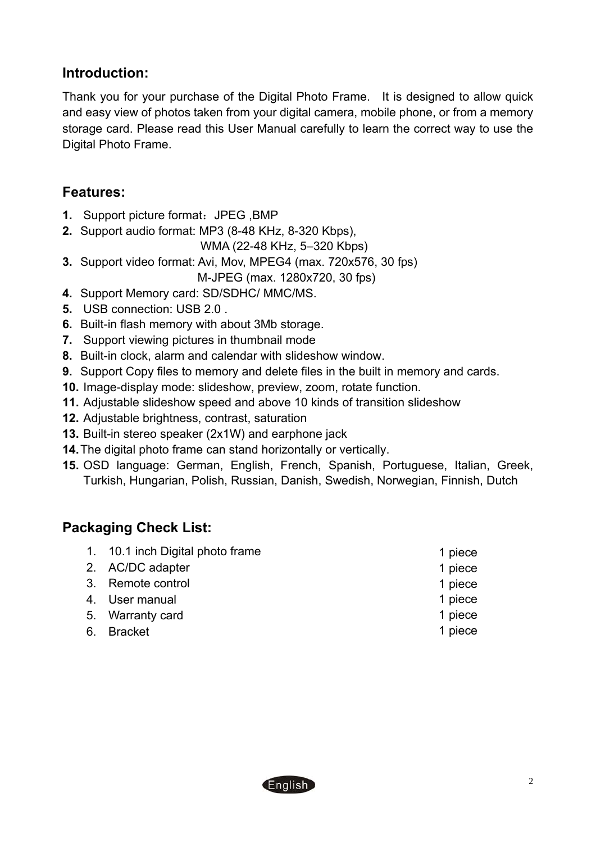### **Introduction:**

Thank you for your purchase of the Digital Photo Frame. It is designed to allow quick and easy view of photos taken from your digital camera, mobile phone, or from a memory storage card. Please read this User Manual carefully to learn the correct way to use the Digital Photo Frame.

#### **Features:**

- **1.** Support picture format: JPEG ,BMP
- **2.** Support audio format: MP3 (8-48 KHz, 8-320 Kbps),

WMA (22-48 KHz, 5–320 Kbps)

- **3.** Support video format: Avi, Mov, MPEG4 (max. 720x576, 30 fps)
	- M-JPEG (max. 1280x720, 30 fps)
- **4.** Support Memory card: SD/SDHC/ MMC/MS.
- **5.** USB connection: USB 2.0 .
- **6.** Built-in flash memory with about 3Mb storage.
- **7.** Support viewing pictures in thumbnail mode
- **8.** Built-in clock, alarm and calendar with slideshow window.
- **9.** Support Copy files to memory and delete files in the built in memory and cards.
- **10.** Image-display mode: slideshow, preview, zoom, rotate function.
- **11.** Adjustable slideshow speed and above 10 kinds of transition slideshow
- **12.** Adjustable brightness, contrast, saturation
- **13.** Built-in stereo speaker (2x1W) and earphone jack
- **14.**The digital photo frame can stand horizontally or vertically.
- **15.** OSD language: German, English, French, Spanish, Portuguese, Italian, Greek, Turkish, Hungarian, Polish, Russian, Danish, Swedish, Norwegian, Finnish, Dutch

### **Packaging Check List:**

| 1. 10.1 inch Digital photo frame | 1 piece |
|----------------------------------|---------|
| 2. AC/DC adapter                 | 1 piece |
| 3. Remote control                | 1 piece |
| 4. User manual                   | 1 piece |
| 5. Warranty card                 | 1 piece |
| 6. Bracket                       | 1 piece |

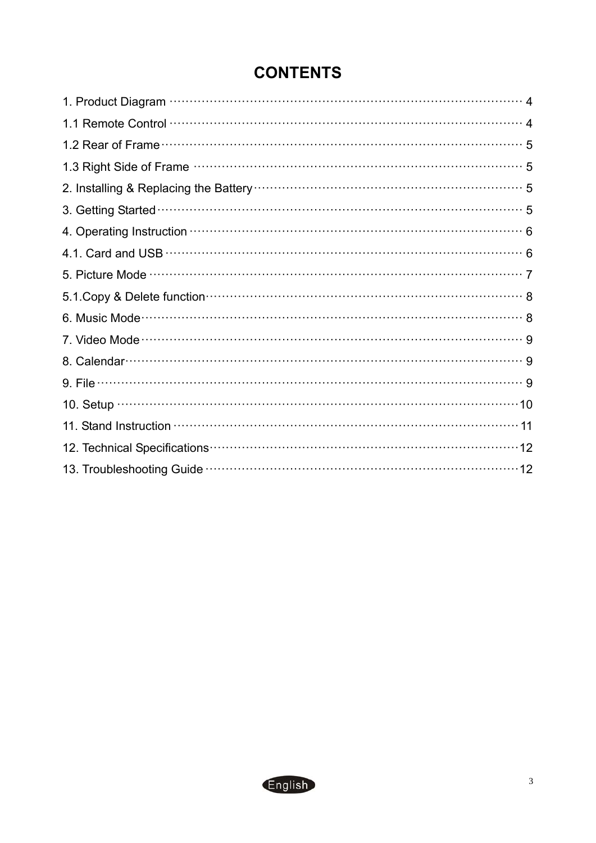| 2. Installing & Replacing the Battery manufacture control of the Battery of the Battery manufacture of the Battery of the Battery of the Battery of the Battery of the Battery of the Battery of the Battery of the Battery of |
|--------------------------------------------------------------------------------------------------------------------------------------------------------------------------------------------------------------------------------|
|                                                                                                                                                                                                                                |
| 4. Operating Instruction manufactured and contact the Second State of Second State of Second State of Second S                                                                                                                 |
|                                                                                                                                                                                                                                |
|                                                                                                                                                                                                                                |
| 5.1.Copy & Delete function manufactured control of a set of a set of a set of a set of a set of a set of a set of a set of a set of a set of a set of a set of a set of a set of a set of a set of a set of a set of a set of  |
|                                                                                                                                                                                                                                |
|                                                                                                                                                                                                                                |
|                                                                                                                                                                                                                                |
|                                                                                                                                                                                                                                |
|                                                                                                                                                                                                                                |
|                                                                                                                                                                                                                                |
|                                                                                                                                                                                                                                |
|                                                                                                                                                                                                                                |

## **CONTENTS**

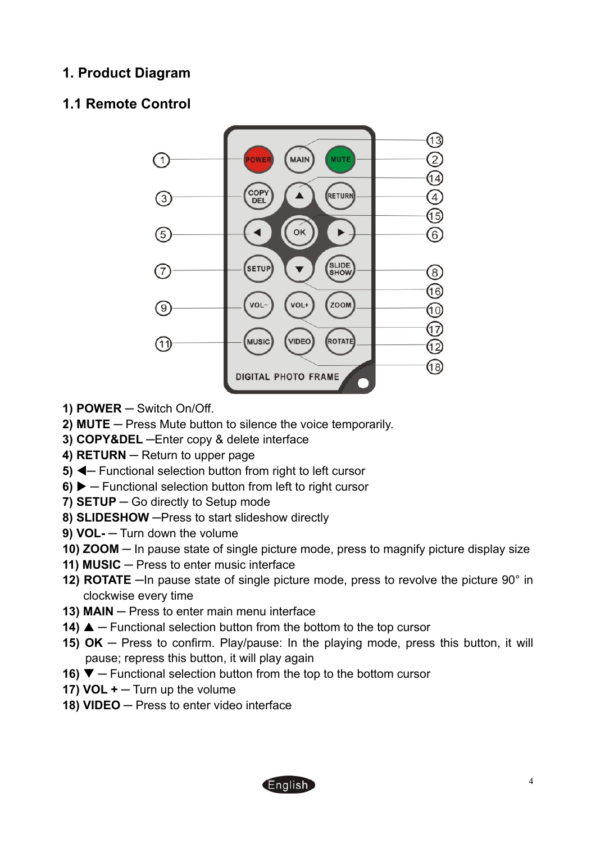### <span id="page-3-0"></span>**1. Product Diagram**

### <span id="page-3-1"></span>**1.1 Remote Control**



- **1) POWER ─** Switch On/Off.
- **2) MUTE ─** Press Mute button to silence the voice temporarily.
- **3) COPY&DEL ─**Enter copy & delete interface
- **4) RETURN ─** Return to upper page
- **5) <b>E** Functional selection button from right to left cursor
- **6) ▶** Functional selection button from left to right cursor
- **7) SETUP ─** Go directly to Setup mode
- **8) SLIDESHOW ─**Press to start slideshow directly
- **9) VOL- ─** Turn down the volume
- **10) ZOOM ─** In pause state of single picture mode, press to magnify picture display size
- **11) MUSIC ─** Press to enter music interface
- **12) ROTATE ─**In pause state of single picture mode, press to revolve the picture 90° in clockwise every time
- **13) MAIN ─** Press to enter main menu interface
- **14) ▲** − Functional selection button from the bottom to the top cursor
- **15) OK ─** Press to confirm. Play/pause: In the playing mode, press this button, it will pause; repress this button, it will play again
- **16) ▼** Functional selection button from the top to the bottom cursor
- **17) VOL + ─** Turn up the volume
- **18) VIDEO ─** Press to enter video interface

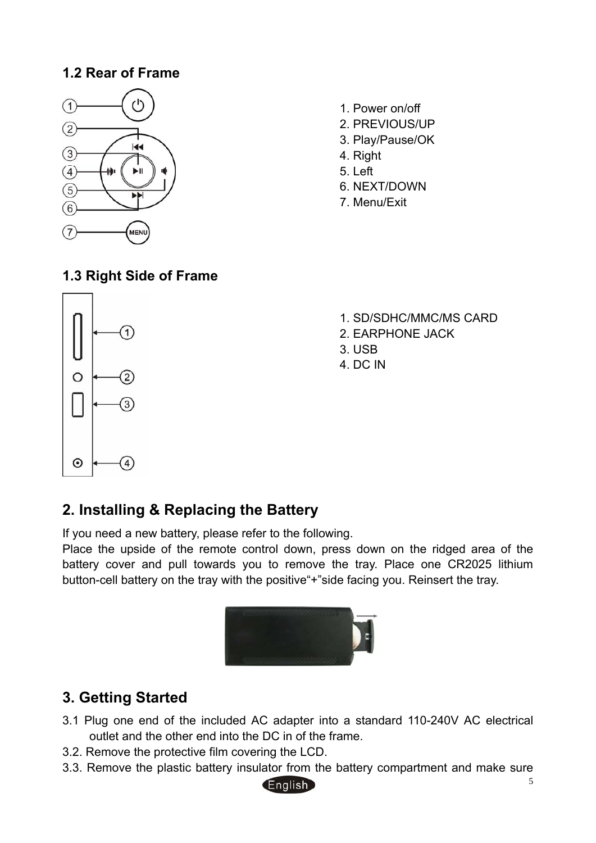### **1.2 Rear of Frame**

<span id="page-4-0"></span>

- 1. Power on/off
- 2. PREVIOUS/UP
- 3. Play/Pause/OK
- 4. Right
- 5. Left
- 6. NEXT/DOWN
- 7. Menu/Exit

## <span id="page-4-1"></span>**1.3 Right Side of Frame**



- 1. SD/SDHC/MMC/MS CARD
- 2. EARPHONE JACK
- 3. USB
- 4. DC IN

## <span id="page-4-2"></span>**2. Installing & Replacing the Battery**

If you need a new battery, please refer to the following.

Place the upside of the remote control down, press down on the ridged area of the battery cover and pull towards you to remove the tray. Place one CR2025 lithium button-cell battery on the tray with the positive"+"side facing you. Reinsert the tray.



## <span id="page-4-3"></span>**3. Getting Started**

- 3.1 Plug one end of the included AC adapter into a standard 110-240V AC electrical outlet and the other end into the DC in of the frame.
- 3.2. Remove the protective film covering the LCD.
- 3.3. Remove the plastic battery insulator from the battery compartment and make sure

#### **English**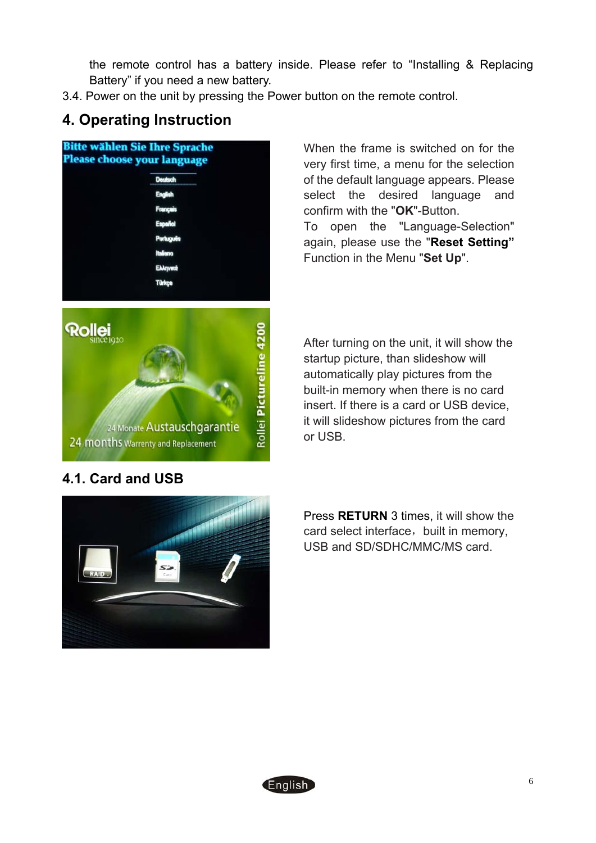the remote control has a battery inside. Please refer to "Installing & Replacing Battery" if you need a new battery.

3.4. Power on the unit by pressing the Power button on the remote control.

## **4. Operating Instruction**

<span id="page-5-0"></span>

When the frame is switched on for the very first time, a menu for the selection of the default language appears. Please select the desired language and confirm with the "**OK**"-Button. To open the "Language-Selection" again, please use the "**Reset Setting"**

Function in the Menu "**Set Up**".



### **4.1. Card and USB**

After turning on the unit, it will show the startup picture, than slideshow will automatically play pictures from the built-in memory when there is no card insert. If there is a card or USB device, it will slideshow pictures from the card or USB.

<span id="page-5-1"></span>

Press **RETURN** 3 times, it will show the card select interface, built in memory, USB and SD/SDHC/MMC/MS card.

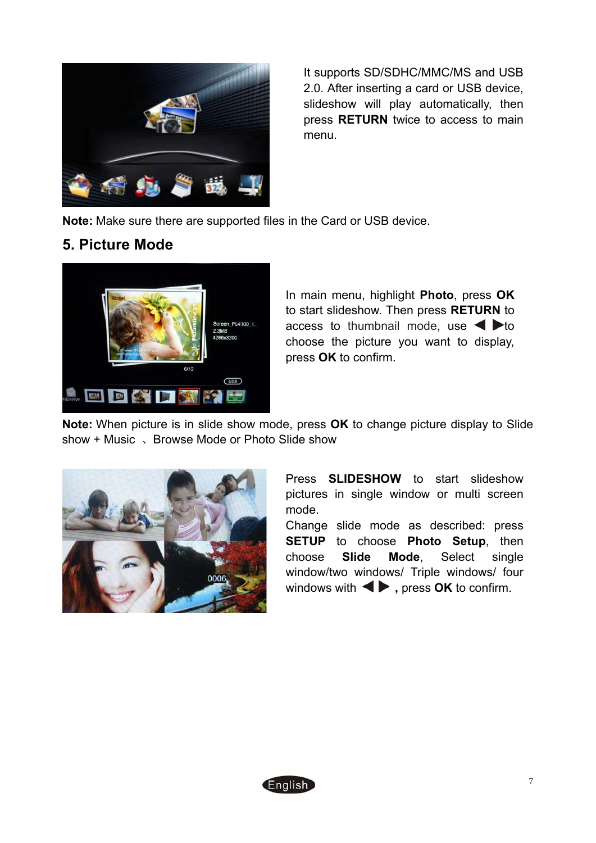

It supports SD/SDHC/MMC/MS and USB 2.0. After inserting a card or USB device, slideshow will play automatically, then press **RETURN** twice to access to main menu.

**Note:** Make sure there are supported files in the Card or USB device.

### **5. Picture Mode**

<span id="page-6-0"></span>

In main menu, highlight **Photo**, press **OK** to start slideshow. Then press **RETURN** to access to thumbnail mode, use  $\blacktriangle$   $\blacktriangleright$  to choose the picture you want to display, press **OK** to confirm.

**Note:** When picture is in slide show mode, press **OK** to change picture display to Slide show + Music 、Browse Mode or Photo Slide show



Press **SLIDESHOW** to start slideshow pictures in single window or multi screen mode.

Change slide mode as described: press **SETUP** to choose **Photo Setup**, then choose **Slide Mode**, Select single window/two windows/ Triple windows/ four windows with  $\blacktriangleleft$  , press **OK** to confirm.

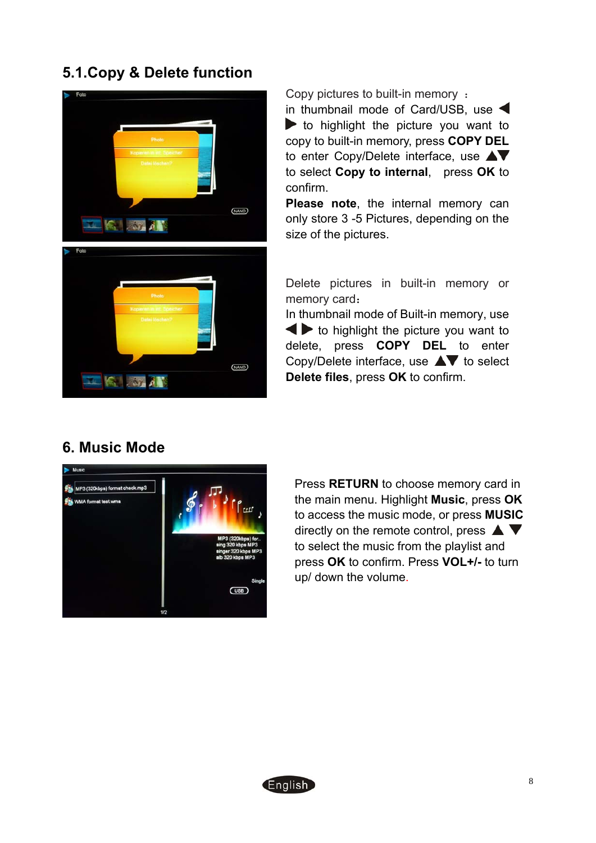## **5.1.Copy & Delete function**

<span id="page-7-0"></span>

Copy pictures to built-in memory : in thumbnail mode of Card/USB, use  $\blacktriangleright$  to highlight the picture you want to copy to built-in memory, press **COPY DEL** to enter Copy/Delete interface, use **A**▼ to select **Copy to internal**, press **OK** to confirm.

**Please note**, the internal memory can only store 3 -5 Pictures, depending on the size of the pictures.

Delete pictures in built-in memory or memory card:

In thumbnail mode of Built-in memory, use  $\blacktriangleleft$  to highlight the picture you want to delete, press **COPY DEL** to enter Copy/Delete interface, use  $\blacktriangle\blacktriangledown$  to select **Delete files**, press **OK** to confirm.

### <span id="page-7-1"></span>**6. Music Mode**



Press **RETURN** to choose memory card in the main menu. Highlight **Music**, press **OK** to access the music mode, or press **MUSIC** directly on the remote control, press  $\blacktriangle \blacktriangledown$ to select the music from the playlist and press **OK** to confirm. Press **VOL+/-** to turn up/ down the volume.

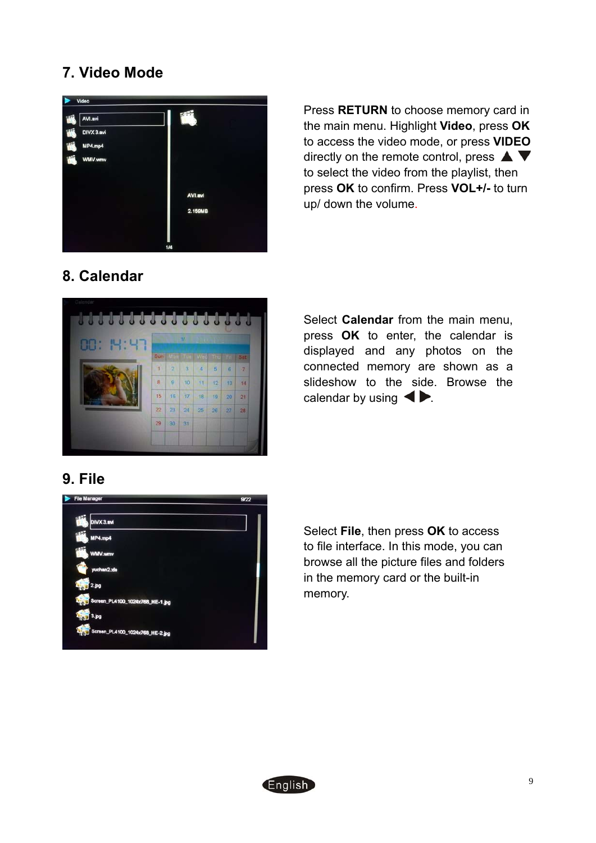# **7. Video Mode**

<span id="page-8-0"></span>

Press **RETURN** to choose memory card in the main menu. Highlight **Video**, press **OK** to access the video mode, or press **VIDEO** directly on the remote control, press  $\blacktriangle \blacktriangledown$ to select the video from the playlist, then press **OK** to confirm. Press **VOL+/-** to turn up/ down the volume.

## <span id="page-8-1"></span>**8. Calendar**



Select **Calendar** from the main menu, press **OK** to enter, the calendar is displayed and any photos on the connected memory are shown as a slideshow to the side. Browse the calendar by using  $\blacktriangle$ 

### **9. File**

<span id="page-8-2"></span>

Select **File**, then press **OK** to access to file interface. In this mode, you can browse all the picture files and folders in the memory card or the built-in memory.

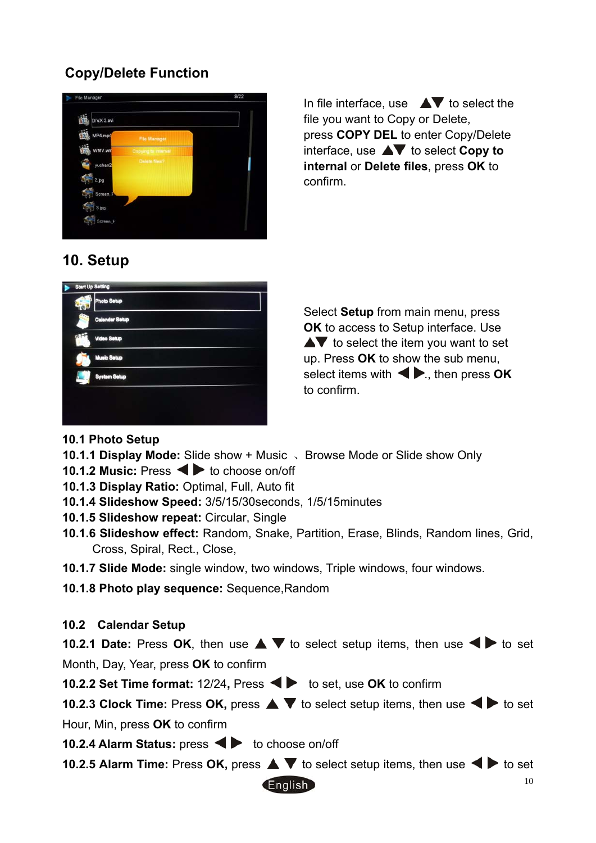### **Copy/Delete Function**



In file interface, use  $\blacktriangle\blacktriangledown$  to select the file you want to Copy or Delete, press **COPY DEL** to enter Copy/Delete interface, use **AV** to select **Copy to internal** or **Delete files**, press **OK** to confirm.

# <span id="page-9-0"></span>**10. Setup**



Select **Setup** from main menu, press **OK** to access to Setup interface. Use  $\blacktriangle\blacktriangledown$  to select the item you want to set up. Press **OK** to show the sub menu, select items with  $\blacktriangleleft$ ., then press **OK** to confirm.

- **10.1 Photo Setup**
- **10.1.1 Display Mode:** Slide show + Music 、Browse Mode or Slide show Only
- **10.1.2 Music:** Press  $\blacktriangle$  to choose on/off
- **10.1.3 Display Ratio:** Optimal, Full, Auto fit
- **10.1.4 Slideshow Speed:** 3/5/15/30seconds, 1/5/15minutes
- **10.1.5 Slideshow repeat:** Circular, Single
- **10.1.6 Slideshow effect:** Random, Snake, Partition, Erase, Blinds, Random lines, Grid, Cross, Spiral, Rect., Close,
- **10.1.7 Slide Mode:** single window, two windows, Triple windows, four windows.
- **10.1.8 Photo play sequence:** Sequence,Random

#### **10.2 Calendar Setup**

 **10.2.1 Date:** Press OK, then use  $\triangle \blacktriangledown$  to select setup items, then use  $\blacktriangle \blacktriangleright$  to set Month, Day, Year, press **OK** to confirm

**10.2.2 Set Time format:** 12/24, Press  $\blacktriangleleft$  **to set, use OK** to confirm

**10.2.3 Clock Time:** Press OK, press  $\blacktriangle \blacktriangledown$  to select setup items, then use  $\blacktriangle \blacktriangleright$  to set Hour, Min, press **OK** to confirm

**10.2.4 Alarm Status:** press  $\blacktriangle$  to choose on/off

**10.2.5 Alarm Time:** Press  $OK$ , press  $\triangle \blacktriangledown$  to select setup items, then use  $\blacktriangle \blacktriangleright$  to set

**English**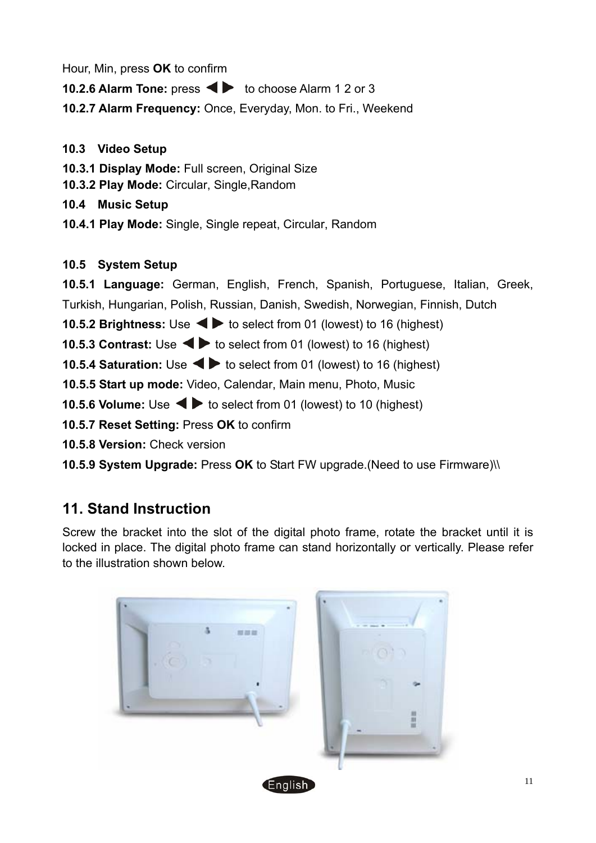Hour, Min, press **OK** to confirm

**10.2.6 Alarm Tone:** press  $\blacktriangleleft$  to choose Alarm 1 2 or 3

 **10.2.7 Alarm Frequency:** Once, Everyday, Mon. to Fri., Weekend

#### **10.3 Video Setup**

**10.3.1 Display Mode:** Full screen, Original Size

**10.3.2 Play Mode:** Circular, Single,Random

**10.4 Music Setup** 

**10.4.1 Play Mode:** Single, Single repeat, Circular, Random

### **10.5 System Setup**

 **10.5.1 Language:** German, English, French, Spanish, Portuguese, Italian, Greek, Turkish, Hungarian, Polish, Russian, Danish, Swedish, Norwegian, Finnish, Dutch **10.5.2 Brightness:** Use  $\blacktriangleleft\blacktriangleright$  to select from 01 (lowest) to 16 (highest) **10.5.3 Contrast:** Use  $\blacktriangleleft$  **b** to select from 01 (lowest) to 16 (highest) **10.5.4 Saturation:** Use  $\blacktriangleleft$  to select from 01 (lowest) to 16 (highest)  **10.5.5 Start up mode:** Video, Calendar, Main menu, Photo, Music **10.5.6 Volume:** Use  $\blacktriangleleft$  **b** to select from 01 (lowest) to 10 (highest) **10.5.7 Reset Setting:** Press **OK** to confirm  **10.5.8 Version:** Check version

 **10.5.9 System Upgrade:** Press **OK** to Start FW upgrade.(Need to use Firmware)\\

# <span id="page-10-0"></span>**11. Stand Instruction**

Screw the bracket into the slot of the digital photo frame, rotate the bracket until it is locked in place. The digital photo frame can stand horizontally or vertically. Please refer to the illustration shown below.